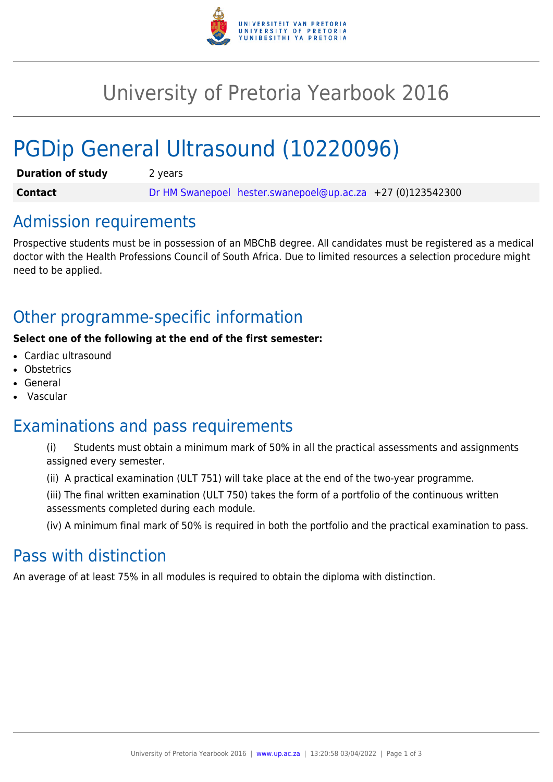

# University of Pretoria Yearbook 2016

# PGDip General Ultrasound (10220096)

| <b>Duration of study</b> | 2 years |                                                              |  |
|--------------------------|---------|--------------------------------------------------------------|--|
| <b>Contact</b>           |         | Dr HM Swanepoel hester.swanepoel@up.ac.za $+27$ (0)123542300 |  |

### Admission requirements

Prospective students must be in possession of an MBChB degree. All candidates must be registered as a medical doctor with the Health Professions Council of South Africa. Due to limited resources a selection procedure might need to be applied.

# Other programme-specific information

#### **Select one of the following at the end of the first semester:**

- Cardiac ultrasound
- **Obstetrics**
- **General**
- Vascular

## Examinations and pass requirements

- (i) Students must obtain a minimum mark of 50% in all the practical assessments and assignments assigned every semester.
- (ii) A practical examination (ULT 751) will take place at the end of the two-year programme.
- (iii) The final written examination (ULT 750) takes the form of a portfolio of the continuous written assessments completed during each module.

(iv) A minimum final mark of 50% is required in both the portfolio and the practical examination to pass.

## Pass with distinction

An average of at least 75% in all modules is required to obtain the diploma with distinction.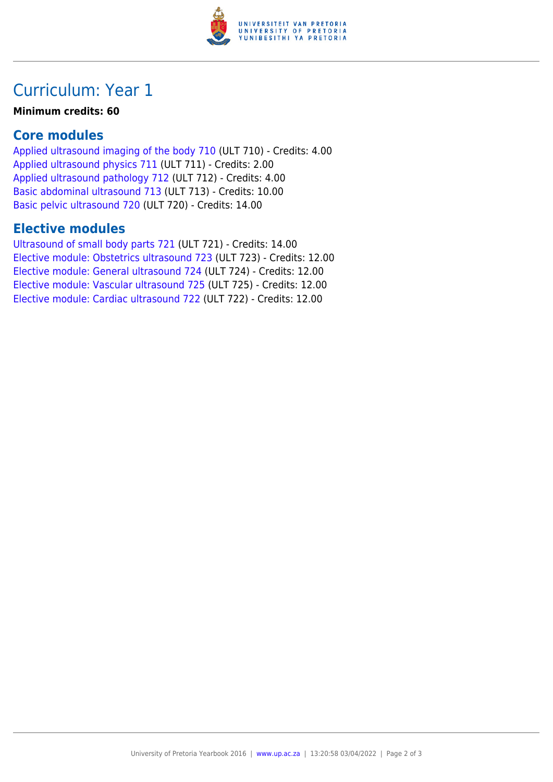

# Curriculum: Year 1

#### **Minimum credits: 60**

### **Core modules**

[Applied ultrasound imaging of the body 710](https://www.up.ac.za/mechanical-and-aeronautical-engineering/yearbooks/2016/modules/view/ULT 710) (ULT 710) - Credits: 4.00 [Applied ultrasound physics 711](https://www.up.ac.za/mechanical-and-aeronautical-engineering/yearbooks/2016/modules/view/ULT 711) (ULT 711) - Credits: 2.00 [Applied ultrasound pathology 712](https://www.up.ac.za/mechanical-and-aeronautical-engineering/yearbooks/2016/modules/view/ULT 712) (ULT 712) - Credits: 4.00 [Basic abdominal ultrasound 713](https://www.up.ac.za/mechanical-and-aeronautical-engineering/yearbooks/2016/modules/view/ULT 713) (ULT 713) - Credits: 10.00 [Basic pelvic ultrasound 720](https://www.up.ac.za/mechanical-and-aeronautical-engineering/yearbooks/2016/modules/view/ULT 720) (ULT 720) - Credits: 14.00

### **Elective modules**

[Ultrasound of small body parts 721](https://www.up.ac.za/mechanical-and-aeronautical-engineering/yearbooks/2016/modules/view/ULT 721) (ULT 721) - Credits: 14.00 [Elective module: Obstetrics ultrasound 723](https://www.up.ac.za/mechanical-and-aeronautical-engineering/yearbooks/2016/modules/view/ULT 723) (ULT 723) - Credits: 12.00 [Elective module: General ultrasound 724](https://www.up.ac.za/mechanical-and-aeronautical-engineering/yearbooks/2016/modules/view/ULT 724) (ULT 724) - Credits: 12.00 [Elective module: Vascular ultrasound 725](https://www.up.ac.za/mechanical-and-aeronautical-engineering/yearbooks/2016/modules/view/ULT 725) (ULT 725) - Credits: 12.00 [Elective module: Cardiac ultrasound 722](https://www.up.ac.za/mechanical-and-aeronautical-engineering/yearbooks/2016/modules/view/ULT 722) (ULT 722) - Credits: 12.00